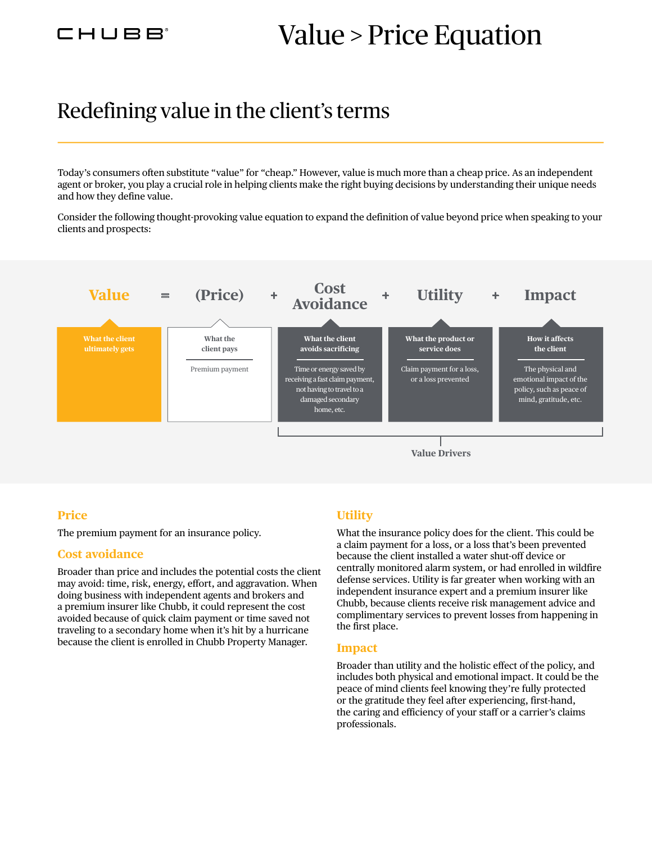## Value > Price Equation

### Redefining value in the client's terms

Today's consumers often substitute "value" for "cheap." However, value is much more than a cheap price. As an independent agent or broker, you play a crucial role in helping clients make the right buying decisions by understanding their unique needs and how they define value.

Consider the following thought-provoking value equation to expand the definition of value beyond price when speaking to your clients and prospects:



#### **Price**

The premium payment for an insurance policy.

#### **Cost avoidance**

Broader than price and includes the potential costs the client may avoid: time, risk, energy, effort, and aggravation. When doing business with independent agents and brokers and a premium insurer like Chubb, it could represent the cost avoided because of quick claim payment or time saved not traveling to a secondary home when it's hit by a hurricane because the client is enrolled in Chubb Property Manager.

#### **Utility**

What the insurance policy does for the client. This could be a claim payment for a loss, or a loss that's been prevented because the client installed a water shut-off device or centrally monitored alarm system, or had enrolled in wildfire defense services. Utility is far greater when working with an independent insurance expert and a premium insurer like Chubb, because clients receive risk management advice and complimentary services to prevent losses from happening in the first place.

#### **Impact**

Broader than utility and the holistic effect of the policy, and includes both physical and emotional impact. It could be the peace of mind clients feel knowing they're fully protected or the gratitude they feel after experiencing, first-hand, the caring and efficiency of your staff or a carrier's claims professionals.